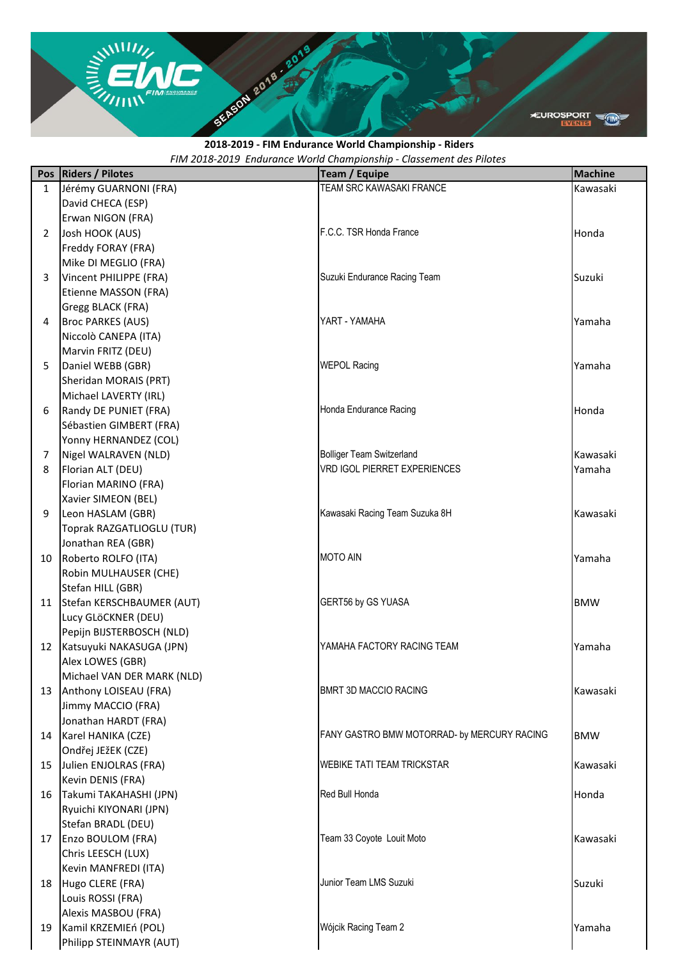**EUROSPORT** 

## *FIM 2018-2019 Endurance World Championship - Classement des Pilotes* **2018-2019 - FIM Endurance World Championship - Riders**

|                | Pos   Riders / Pilotes                      | Team / Equipe                               | <b>Machine</b> |
|----------------|---------------------------------------------|---------------------------------------------|----------------|
| $\mathbf{1}$   | Jérémy GUARNONI (FRA)                       | TEAM SRC KAWASAKI FRANCE                    | Kawasaki       |
|                | David CHECA (ESP)                           |                                             |                |
|                | Erwan NIGON (FRA)                           |                                             |                |
| $\overline{2}$ | Josh HOOK (AUS)                             | F.C.C. TSR Honda France                     | Honda          |
|                | Freddy FORAY (FRA)                          |                                             |                |
|                | Mike DI MEGLIO (FRA)                        |                                             |                |
| 3              | Vincent PHILIPPE (FRA)                      | Suzuki Endurance Racing Team                | Suzuki         |
|                | Etienne MASSON (FRA)                        |                                             |                |
|                | Gregg BLACK (FRA)                           |                                             |                |
| 4              | <b>Broc PARKES (AUS)</b>                    | YART - YAMAHA                               | Yamaha         |
|                | Niccolò CANEPA (ITA)                        |                                             |                |
|                | Marvin FRITZ (DEU)                          |                                             |                |
| 5              | Daniel WEBB (GBR)                           | <b>WEPOL Racing</b>                         | Yamaha         |
|                | Sheridan MORAIS (PRT)                       |                                             |                |
|                | Michael LAVERTY (IRL)                       |                                             |                |
| 6              | Randy DE PUNIET (FRA)                       | Honda Endurance Racing                      | Honda          |
|                | Sébastien GIMBERT (FRA)                     |                                             |                |
|                | Yonny HERNANDEZ (COL)                       |                                             |                |
| 7              | Nigel WALRAVEN (NLD)                        | <b>Bolliger Team Switzerland</b>            | Kawasaki       |
| 8              | Florian ALT (DEU)                           | <b>VRD IGOL PIERRET EXPERIENCES</b>         | Yamaha         |
|                | Florian MARINO (FRA)                        |                                             |                |
|                | Xavier SIMEON (BEL)                         |                                             |                |
| 9              | Leon HASLAM (GBR)                           | Kawasaki Racing Team Suzuka 8H              | Kawasaki       |
|                | Toprak RAZGATLIOGLU (TUR)                   |                                             |                |
|                | Jonathan REA (GBR)                          |                                             |                |
| 10             | Roberto ROLFO (ITA)                         | <b>MOTO AIN</b>                             | Yamaha         |
|                | Robin MULHAUSER (CHE)                       |                                             |                |
|                | Stefan HILL (GBR)                           |                                             |                |
| 11             | Stefan KERSCHBAUMER (AUT)                   | <b>GERT56 by GS YUASA</b>                   | <b>BMW</b>     |
|                | Lucy GLÖCKNER (DEU)                         |                                             |                |
|                | Pepijn BIJSTERBOSCH (NLD)                   |                                             |                |
| 12             | Katsuyuki NAKASUGA (JPN)                    | YAMAHA FACTORY RACING TEAM                  | Yamaha         |
|                | Alex LOWES (GBR)                            |                                             |                |
|                | Michael VAN DER MARK (NLD)                  |                                             |                |
| 13             | Anthony LOISEAU (FRA)                       | <b>BMRT 3D MACCIO RACING</b>                | Kawasaki       |
|                | Jimmy MACCIO (FRA)                          |                                             |                |
|                | Jonathan HARDT (FRA)                        |                                             |                |
| 14             | Karel HANIKA (CZE)                          | FANY GASTRO BMW MOTORRAD- by MERCURY RACING | <b>BMW</b>     |
|                |                                             |                                             |                |
| 15             | Ondřej JEžEK (CZE)<br>Julien ENJOLRAS (FRA) | <b>WEBIKE TATI TEAM TRICKSTAR</b>           | Kawasaki       |
|                | Kevin DENIS (FRA)                           |                                             |                |
| 16             |                                             | Red Bull Honda                              | Honda          |
|                | Takumi TAKAHASHI (JPN)                      |                                             |                |
|                | Ryuichi KIYONARI (JPN)                      |                                             |                |
|                | Stefan BRADL (DEU)                          |                                             |                |
| 17             | Enzo BOULOM (FRA)                           | Team 33 Coyote Louit Moto                   | Kawasaki       |
|                | Chris LEESCH (LUX)                          |                                             |                |
|                | Kevin MANFREDI (ITA)                        | Junior Team LMS Suzuki                      |                |
| 18             | Hugo CLERE (FRA)                            |                                             | Suzuki         |
|                | Louis ROSSI (FRA)                           |                                             |                |
|                | Alexis MASBOU (FRA)                         |                                             |                |
| 19             | Kamil KRZEMIEń (POL)                        | Wójcik Racing Team 2                        | Yamaha         |
|                | Philipp STEINMAYR (AUT)                     |                                             |                |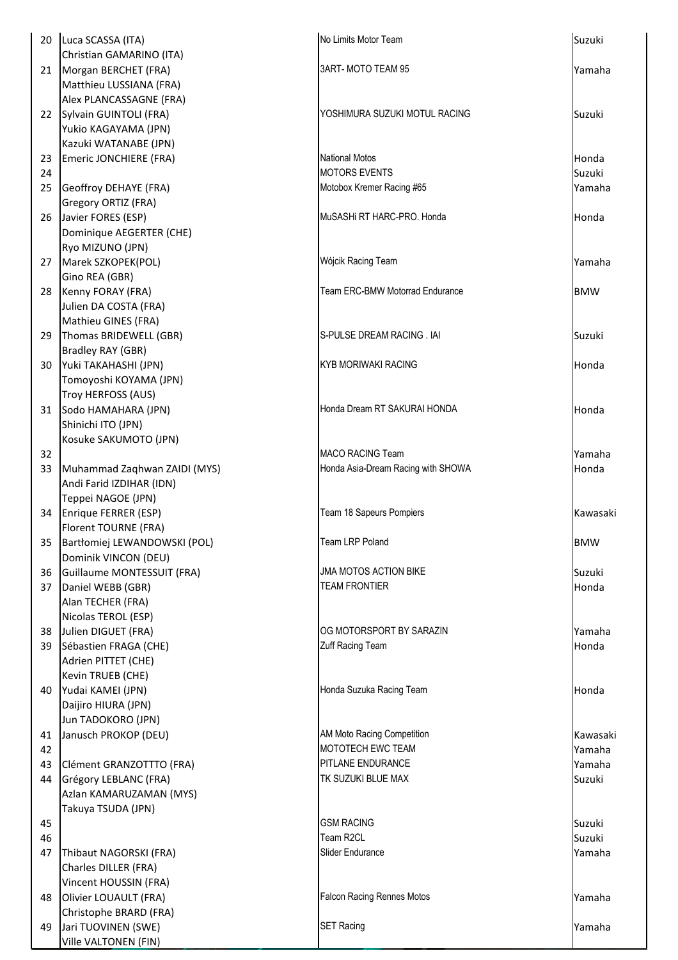| 20       | Luca SCASSA (ITA)                                | No Limits Motor Team                           | Suzuki           |
|----------|--------------------------------------------------|------------------------------------------------|------------------|
|          |                                                  |                                                |                  |
| 21       | Christian GAMARINO (ITA)                         | 3ART-MOTO TEAM 95                              | Yamaha           |
|          | Morgan BERCHET (FRA)<br>Matthieu LUSSIANA (FRA)  |                                                |                  |
|          | Alex PLANCASSAGNE (FRA)                          |                                                |                  |
| 22       | Sylvain GUINTOLI (FRA)                           | YOSHIMURA SUZUKI MOTUL RACING                  | Suzuki           |
|          | Yukio KAGAYAMA (JPN)                             |                                                |                  |
|          | Kazuki WATANABE (JPN)                            |                                                |                  |
| 23       | Emeric JONCHIERE (FRA)                           | <b>National Motos</b>                          | Honda            |
| 24       |                                                  | <b>MOTORS EVENTS</b>                           | Suzuki           |
| 25       | Geoffroy DEHAYE (FRA)                            | Motobox Kremer Racing #65                      | Yamaha           |
|          | Gregory ORTIZ (FRA)                              |                                                |                  |
| 26       | Javier FORES (ESP)                               | MuSASHi RT HARC-PRO. Honda                     | Honda            |
|          | Dominique AEGERTER (CHE)                         |                                                |                  |
|          | Ryo MIZUNO (JPN)                                 |                                                |                  |
| 27       | Marek SZKOPEK(POL)                               | Wójcik Racing Team                             | Yamaha           |
|          | Gino REA (GBR)                                   |                                                |                  |
| 28       | Kenny FORAY (FRA)                                | Team ERC-BMW Motorrad Endurance                | <b>BMW</b>       |
|          | Julien DA COSTA (FRA)                            |                                                |                  |
|          | Mathieu GINES (FRA)                              |                                                |                  |
| 29       | Thomas BRIDEWELL (GBR)                           | S-PULSE DREAM RACING . IAI                     | Suzuki           |
|          | Bradley RAY (GBR)                                |                                                |                  |
| 30       | Yuki TAKAHASHI (JPN)                             | KYB MORIWAKI RACING                            | Honda            |
|          | Tomoyoshi KOYAMA (JPN)                           |                                                |                  |
|          | Troy HERFOSS (AUS)                               |                                                |                  |
| 31       | Sodo HAMAHARA (JPN)                              | Honda Dream RT SAKURAI HONDA                   | Honda            |
|          | Shinichi ITO (JPN)                               |                                                |                  |
|          | Kosuke SAKUMOTO (JPN)                            |                                                |                  |
| 32       |                                                  | <b>MACO RACING Team</b>                        | Yamaha           |
| 33       | Muhammad Zaqhwan ZAIDI (MYS)                     | Honda Asia-Dream Racing with SHOWA             | Honda            |
|          | Andi Farid IZDIHAR (IDN)<br>Teppei NAGOE (JPN)   |                                                |                  |
| 34       | Enrique FERRER (ESP)                             | Team 18 Sapeurs Pompiers                       | Kawasaki         |
|          | Florent TOURNE (FRA)                             |                                                |                  |
| 35       | Bartłomiej LEWANDOWSKI (POL)                     | <b>Team LRP Poland</b>                         | <b>BMW</b>       |
|          | Dominik VINCON (DEU)                             |                                                |                  |
| 36       | Guillaume MONTESSUIT (FRA)                       | <b>JMA MOTOS ACTION BIKE</b>                   | Suzuki           |
| 37       | Daniel WEBB (GBR)                                | <b>TEAM FRONTIER</b>                           | Honda            |
|          | Alan TECHER (FRA)                                |                                                |                  |
|          | Nicolas TEROL (ESP)                              |                                                |                  |
| 38       | Julien DIGUET (FRA)                              | OG MOTORSPORT BY SARAZIN                       | Yamaha           |
| 39       | Sébastien FRAGA (CHE)                            | Zuff Racing Team                               | Honda            |
|          | Adrien PITTET (CHE)                              |                                                |                  |
|          | Kevin TRUEB (CHE)                                |                                                |                  |
| 40       | Yudai KAMEI (JPN)                                | Honda Suzuka Racing Team                       | Honda            |
|          | Daijiro HIURA (JPN)                              |                                                |                  |
|          | Jun TADOKORO (JPN)                               |                                                |                  |
| 41       | Janusch PROKOP (DEU)                             | AM Moto Racing Competition                     | Kawasaki         |
| 42       |                                                  | MOTOTECH EWC TEAM                              | Yamaha           |
| 43<br>44 | Clément GRANZOTTTO (FRA)                         | <b>PITLANE ENDURANCE</b><br>TK SUZUKI BLUE MAX | Yamaha<br>Suzuki |
|          | Grégory LEBLANC (FRA)<br>Azlan KAMARUZAMAN (MYS) |                                                |                  |
|          | Takuya TSUDA (JPN)                               |                                                |                  |
| 45       |                                                  | <b>GSM RACING</b>                              | Suzuki           |
| 46       |                                                  | Team R2CL                                      | Suzuki           |
| 47       | Thibaut NAGORSKI (FRA)                           | Slider Endurance                               | Yamaha           |
|          | Charles DILLER (FRA)                             |                                                |                  |
|          | Vincent HOUSSIN (FRA)                            |                                                |                  |
| 48       | Olivier LOUAULT (FRA)                            | <b>Falcon Racing Rennes Motos</b>              | Yamaha           |
|          | Christophe BRARD (FRA)                           |                                                |                  |
| 49       | Jari TUOVINEN (SWE)                              | <b>SET Racing</b>                              | Yamaha           |
|          | Ville VALTONEN (FIN)                             |                                                |                  |